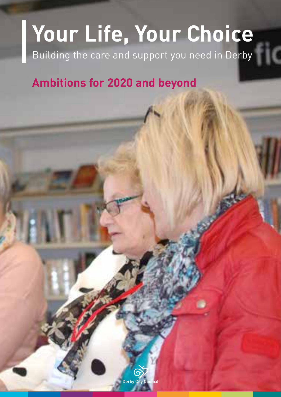# **Your Life, Your Choice**

Building the care and support you need in Derby

### **Ambitions for 2020 and beyond**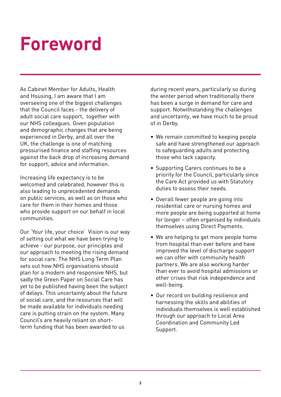### **Foreword**

As Cabinet Member for Adults, Health and Housing, I am aware that I am overseeing one of the biggest challenges that the Council faces - the delivery of adult social care support, together with our NHS colleagues. Given population and demographic changes that are being experienced in Derby, and all over the UK, the challenge is one of matching pressurised finance and staffing resources against the back drop of increasing demand for support, advice and information.

Increasing life expectancy is to be welcomed and celebrated, however this is also leading to unprecedented demands on public services, as well as on those who care for them in their homes and those who provide support on our behalf in local communities.

Our 'Your life, your choice' Vision is our way of setting out what we have been trying to achieve - our purpose, our principles and our approach to meeting the rising demand for social care. The NHS Long Term Plan sets out how NHS organisations should plan for a modern and responsive NHS, but sadly the Green Paper on Social Care has yet to be published having been the subject of delays. This uncertainty about the future of social care, and the resources that will be made available for individuals needing care is putting strain on the system. Many Council's are heavily reliant on shortterm funding that has been awarded to us

during recent years, particularly so during the winter period when traditionally there has been a surge in demand for care and support. Notwithstanding the challenges and uncertainty, we have much to be proud of in Derby.

- We remain committed to keeping people safe and have strengthened our approach to safeguarding adults and protecting those who lack capacity.
- Supporting Carers continues to be a priority for the Council, particularly since the Care Act provided us with Statutory duties to assess their needs.
- Overall fewer people are going into residential care or nursing homes and more people are being supported at home for longer – often organised by individuals themselves using Direct Payments.
- We are helping to get more people home from hospital than ever before and have improved the level of discharge support we can offer with community health partners. We are also working harder than ever to avoid hospital admissions or other crises that risk independence and well-being.
- Our record on building resilience and harnessing the skills and abilities of individuals themselves is well established through our approach to Local Area Coordination and Community Led Support.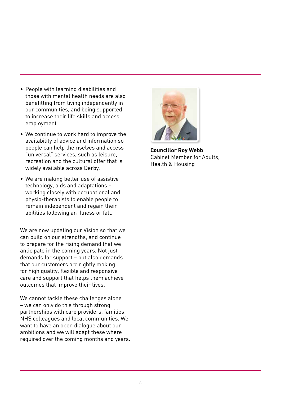- People with learning disabilities and those with mental health needs are also benefitting from living independently in our communities, and being supported to increase their life skills and access employment.
- We continue to work hard to improve the availability of advice and information so people can help themselves and access "universal" services, such as leisure, recreation and the cultural offer that is widely available across Derby.
- We are making better use of assistive technology, aids and adaptations – working closely with occupational and physio-therapists to enable people to remain independent and regain their abilities following an illness or fall.

We are now updating our Vision so that we can build on our strengths, and continue to prepare for the rising demand that we anticipate in the coming years. Not just demands for support – but also demands that our customers are rightly making for high quality, flexible and responsive care and support that helps them achieve outcomes that improve their lives.

We cannot tackle these challenges alone – we can only do this through strong partnerships with care providers, families, NHS colleagues and local communities. We want to have an open dialogue about our ambitions and we will adapt these where required over the coming months and years.



**Councillor Roy Webb**  Cabinet Member for Adults, Health & Housing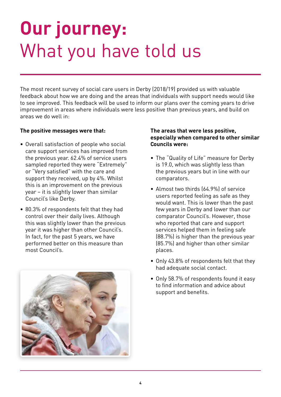### **Our journey:**  What you have told us

The most recent survey of social care users in Derby (2018/19) provided us with valuable feedback about how we are doing and the areas that individuals with support needs would like to see improved. This feedback will be used to inform our plans over the coming years to drive improvement in areas where individuals were less positive than previous years, and build on areas we do well in:

#### **The positive messages were that:**

- Overall satisfaction of people who social care support services has improved from the previous year. 62.4% of service users sampled reported they were "Extremely" or "Very satisfied" with the care and support they received, up by 4%. Whilst this is an improvement on the previous year – it is slightly lower than similar Council's like Derby.
- 80.3% of respondents felt that they had control over their daily lives. Although this was slightly lower than the previous year it was higher than other Council's. In fact, for the past 5 years, we have performed better on this measure than most Council's.



#### **The areas that were less positive, especially when compared to other similar Councils were:**

- The "Quality of Life" measure for Derby is 19.0, which was slightly less than the previous years but in line with our comparators.
- Almost two thirds (64.9%) of service users reported feeling as safe as they would want. This is lower than the past few years in Derby and lower than our comparator Council's. However, those who reported that care and support services helped them in feeling safe (88.7%) is higher than the previous year (85.7%) and higher than other similar places.
- Only 43.8% of respondents felt that they had adequate social contact.
- Only 58.7% of respondents found it easy to find information and advice about support and benefits.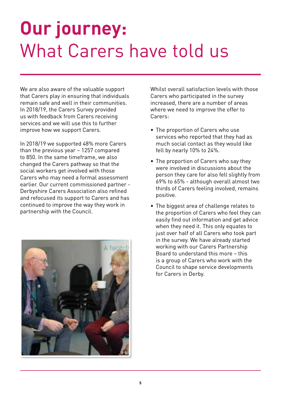### **Our journey:**  What Carers have told us

We are also aware of the valuable support that Carers play in ensuring that individuals remain safe and well in their communities. In 2018/19, the Carers Survey provided us with feedback from Carers receiving services and we will use this to further improve how we support Carers.

In 2018/19 we supported 48% more Carers than the previous year – 1257 compared to 850. In the same timeframe, we also changed the Carers pathway so that the social workers get involved with those Carers who may need a formal assessment earlier. Our current commissioned partner - Derbyshire Carers Association also refined and refocused its support to Carers and has continued to improve the way they work in partnership with the Council.



Whilst overall satisfaction levels with those Carers who participated in the survey increased, there are a number of areas where we need to improve the offer to Carers:

- The proportion of Carers who use services who reported that they had as much social contact as they would like fell by nearly 10% to 24%.
- The proportion of Carers who say they were involved in discussions about the person they care for also fell slightly from 69% to 65% - although overall almost two thirds of Carers feeling involved, remains positive.
- The biggest area of challenge relates to the proportion of Carers who feel they can easily find out information and get advice when they need it. This only equates to just over half of all Carers who took part in the survey. We have already started working with our Carers Partnership Board to understand this more – this is a group of Carers who work with the Council to shape service developments for Carers in Derby.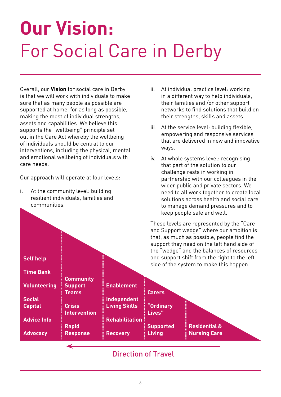# **Our Vision:**  For Social Care in Derby

Overall, our **Vision** for social care in Derby is that we will work with individuals to make sure that as many people as possible are supported at home, for as long as possible, making the most of individual strengths, assets and capabilities. We believe this supports the "wellbeing" principle set out in the Care Act whereby the wellbeing of individuals should be central to our interventions, including the physical, mental and emotional wellbeing of individuals with care needs.

Our approach will operate at four levels:

i. At the community level: building resilient individuals, families and communities.

**Self help** 

- ii. At individual practice level: working in a different way to help individuals, their families and /or other support networks to find solutions that build on their strengths, skills and assets.
- iii. At the service level: building flexible, empowering and responsive services that are delivered in new and innovative ways.
- iv. At whole systems level: recognising that part of the solution to our challenge rests in working in partnership with our colleagues in the wider public and private sectors. We need to all work together to create local solutions across health and social care to manage demand pressures and to keep people safe and well.

These levels are represented by the "Care and Support wedge" where our ambition is that, as much as possible, people find the support they need on the left hand side of the "wedge" and the balances of resources and support shift from the right to the left side of the system to make this happen.



#### Direction of Travel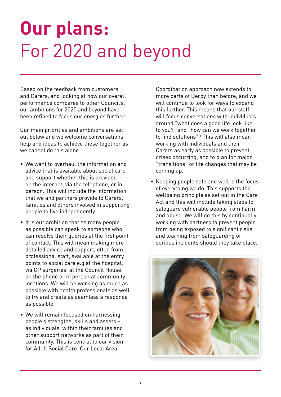# **Our plans:**  For 2020 and beyond

Based on the feedback from customers and Carers, and looking at how our overall performance compares to other Council's, our ambitions for 2020 and beyond have been refined to focus our energies further.

Our main priorities and ambitions are set out below and we welcome conversations, help and ideas to achieve these together as we cannot do this alone.

- We want to overhaul the information and advice that is available about social care and support whether this is provided on the internet, via the telephone, or in person. This will include the information that we and partners provide to Carers, families and others involved in supporting people to live independently.
- It is our ambition that as many people as possible can speak to someone who can resolve their queries at the first point of contact. This will mean making more detailed advice and support, often from professional staff, available at the entry points to social care e.g at the hospital, via GP surgeries, at the Council House, on the phone or in person at community locations. We will be working as much as possible with health professionals as well to try and create as seamless a response as possible.
- We will remain focused on harnessing people's strengths, skills and assets – as individuals, within their families and other support networks as part of their community. This is central to our vision for Adult Social Care. Our Local Area

Coordination approach now extends to more parts of Derby than before, and we will continue to look for ways to expand this further. This means that our staff will focus conversations with individuals around "what does a good life look like to you?" and "how can we work together to find solutions"? This will also mean working with individuals and their Carers as early as possible to prevent crises occurring, and to plan for major "transitions" or life changes that may be coming up.

• Keeping people safe and well is the focus of everything we do. This supports the wellbeing principle as set out in the Care Act and this will include taking steps to safeguard vulnerable people from harm and abuse. We will do this by continually working with partners to prevent people from being exposed to significant risks and learning from safeguarding or serious incidents should they take place.

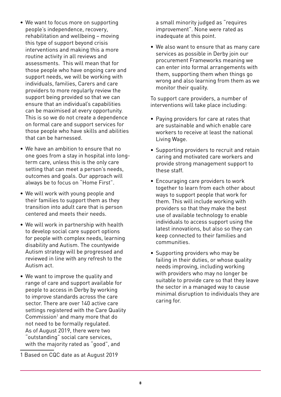- We want to focus more on supporting people's independence, recovery, rehabilitation and wellbeing – moving this type of support beyond crisis interventions and making this a more routine activity in all reviews and assessments. This will mean that for those people who have ongoing care and support needs, we will be working with individuals, families, Carers and care providers to more regularly review the support being provided so that we can ensure that an individual's capabilities can be maximised at every opportunity. This is so we do not create a dependence on formal care and support services for those people who have skills and abilities that can be harnessed.
- We have an ambition to ensure that no one goes from a stay in hospital into longterm care, unless this is the only care setting that can meet a person's needs, outcomes and goals. Our approach will always be to focus on "Home First".
- We will work with young people and their families to support them as they transition into adult care that is person centered and meets their needs.
- We will work in partnership with health to develop social care support options for people with complex needs, learning disability and Autism. The countywide Autism strategy will be progressed and reviewed in line with any refresh to the Autism act.
- We want to improve the quality and range of care and support available for people to access in Derby by working to improve standards across the care sector. There are over 140 active care settings registered with the Care Quality Commission<sup>1</sup> and many more that do not need to be formally regulated. As of August 2019, there were two "outstanding" social care services, with the majority rated as "good", and

1 Based on CQC date as at August 2019

a small minority judged as "requires improvement". None were rated as inadequate at this point.

• We also want to ensure that as many care services as possible in Derby join our procurement Frameworks meaning we can enter into formal arrangements with them, supporting them when things go wrong and also learning from them as we monitor their quality.

To support care providers, a number of interventions will take place including:

- Paying providers for care at rates that are sustainable and which enable care workers to receive at least the national Living Wage.
- Supporting providers to recruit and retain caring and motivated care workers and provide strong management support to these staff.
- Encouraging care providers to work together to learn from each other about ways to support people that work for them. This will include working with providers so that they make the best use of available technology to enable individuals to access support using the latest innovations, but also so they can keep connected to their families and communities.
- Supporting providers who may be failing in their duties, or whose quality needs improving, including working with providers who may no longer be suitable to provide care so that they leave the sector in a managed way to cause minimal disruption to individuals they are caring for.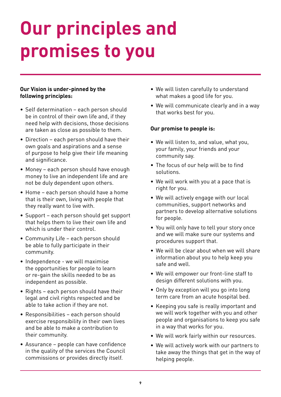# **Our principles and promises to you**

#### **Our Vision is under-pinned by the following principles:**

- Self determination each person should be in control of their own life and, if they need help with decisions, those decisions are taken as close as possible to them.
- Direction each person should have their own goals and aspirations and a sense of purpose to help give their life meaning and significance.
- Money each person should have enough money to live an independent life and are not be duly dependent upon others.
- Home each person should have a home that is their own, living with people that they really want to live with.
- Support each person should get support that helps them to live their own life and which is under their control.
- Community Life each person should be able to fully participate in their community.
- Independence we will maximise the opportunities for people to learn or re-gain the skills needed to be as independent as possible.
- Rights each person should have their legal and civil rights respected and be able to take action if they are not.
- Responsibilities each person should exercise responsibility in their own lives and be able to make a contribution to their community.
- Assurance people can have confidence in the quality of the services the Council commissions or provides directly itself.
- We will listen carefully to understand what makes a good life for you.
- We will communicate clearly and in a way that works best for you.

#### **Our promise to people is:**

- We will listen to, and value, what you, your family, your friends and your community say.
- The focus of our help will be to find solutions.
- We will work with you at a pace that is right for you.
- We will actively engage with our local communities, support networks and partners to develop alternative solutions for people.
- You will only have to tell your story once and we will make sure our systems and procedures support that.
- We will be clear about when we will share information about you to help keep you safe and well.
- We will empower our front-line staff to design different solutions with you.
- Only by exception will you go into long term care from an acute hospital bed.
- Keeping you safe is really important and we will work together with you and other people and organisations to keep you safe in a way that works for you.
- We will work fairly within our resources.
- We will actively work with our partners to take away the things that get in the way of helping people.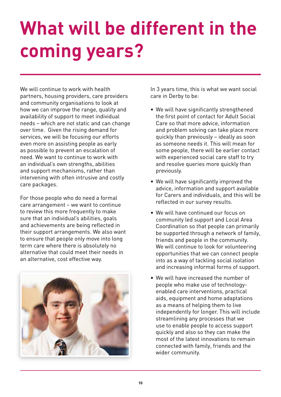# **What will be different in the coming years?**

We will continue to work with health partners, housing providers, care providers and community organisations to look at how we can improve the range, quality and availability of support to meet individual needs – which are not static and can change over time. Given the rising demand for services, we will be focusing our efforts even more on assisting people as early as possible to prevent an escalation of need. We want to continue to work with an individual's own strengths, abilities and support mechanisms, rather than intervening with often intrusive and costly care packages.

For those people who do need a formal care arrangement – we want to continue to review this more frequently to make sure that an individual's abilities, goals and achievements are being reflected in their support arrangements. We also want to ensure that people only move into long term care where there is absolutely no alternative that could meet their needs in an alternative, cost effective way.



In 3 years time, this is what we want social care in Derby to be:

- We will have significantly strengthened the first point of contact for Adult Social Care so that more advice, information and problem solving can take place more quickly than previously – ideally as soon as someone needs it. This will mean for some people, there will be earlier contact with experienced social care staff to try and resolve queries more quickly than previously.
- We will have significantly improved the advice, information and support available for Carers and individuals, and this will be reflected in our survey results.
- We will have continued our focus on community led support and Local Area Coordination so that people can primarily be supported through a network of family, friends and people in the community. We will continue to look for volunteering opportunities that we can connect people into as a way of tackling social isolation and increasing informal forms of support.
- We will have increased the number of people who make use of technologyenabled care interventions, practical aids, equipment and home adaptations as a means of helping them to live independently for longer. This will include streamlining any processes that we use to enable people to access support quickly and also so they can make the most of the latest innovations to remain connected with family, friends and the wider community.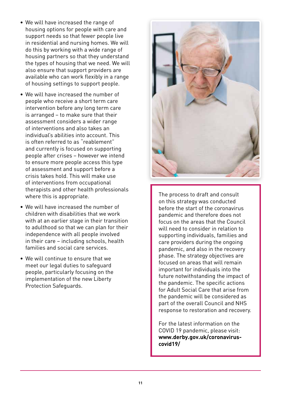- We will have increased the range of housing options for people with care and support needs so that fewer people live in residential and nursing homes. We will do this by working with a wide range of housing partners so that they understand the types of housing that we need. We will also ensure that support providers are available who can work flexibly in a range of housing settings to support people.
- We will have increased the number of people who receive a short term care intervention before any long term care is arranged – to make sure that their assessment considers a wider range of interventions and also takes an individual's abilities into account. This is often referred to as "reablement" and currently is focused on supporting people after crises – however we intend to ensure more people access this type of assessment and support before a crisis takes hold. This will make use of interventions from occupational therapists and other health professionals where this is appropriate.
- We will have increased the number of children with disabilities that we work with at an earlier stage in their transition to adulthood so that we can plan for their independence with all people involved in their care – including schools, health families and social care services.
- We will continue to ensure that we meet our legal duties to safeguard people, particularly focusing on the implementation of the new Liberty Protection Safeguards.



The process to draft and consult on this strategy was conducted before the start of the coronavirus pandemic and therefore does not focus on the areas that the Council will need to consider in relation to supporting individuals, families and care providers during the ongoing pandemic, and also in the recovery phase. The strategy objectives are focused on areas that will remain important for individuals into the future notwithstanding the impact of the pandemic. The specific actions for Adult Social Care that arise from the pandemic will be considered as part of the overall Council and NHS response to restoration and recovery.

For the latest information on the COVID 19 pandemic, please visit: **<www.derby.gov.uk/coronavirus>covid19/**